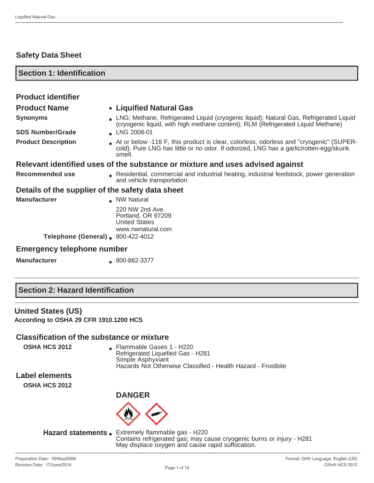## **Safety Data Sheet**

| <b>Section 1: Identification</b>                 |                                                                                                                                                                                           |
|--------------------------------------------------|-------------------------------------------------------------------------------------------------------------------------------------------------------------------------------------------|
|                                                  |                                                                                                                                                                                           |
| <b>Product identifier</b>                        |                                                                                                                                                                                           |
| <b>Product Name</b>                              | • Liquified Natural Gas                                                                                                                                                                   |
| <b>Synonyms</b>                                  | LNG; Methane, Refrigerated Liquid (cryogenic liquid); Natural Gas, Refrigerated Liquid<br>(cryogenic liquid, with high methane content); RLM (Refrigerated Liquid Methane)                |
| <b>SDS Number/Grade</b>                          | LNG 2008-01                                                                                                                                                                               |
| <b>Product Description</b>                       | At or below -116 F, this product is clear, colorless, odorless and "cryogenic" (SUPER-<br>cold). Pure LNG has little or no odor. If odorized, LNG has a garlic/rotten-egg/skunk<br>smell. |
|                                                  | Relevant identified uses of the substance or mixture and uses advised against                                                                                                             |
| Recommended use                                  | Residential, commercial and industrial heating, industrial feedstock, power generation<br>and vehicle transportation                                                                      |
| Details of the supplier of the safety data sheet |                                                                                                                                                                                           |
| <b>Manufacturer</b>                              | NW Natural                                                                                                                                                                                |
|                                                  | 220 NW 2nd Ave.<br>Portland, OR 97209<br><b>United States</b><br>www.nwnatural.com                                                                                                        |
| <b>Telephone (General)</b> 800-422-4012          |                                                                                                                                                                                           |

#### **Emergency telephone number**

**Manufacturer** 800-882-3377

#### **United States (US)**

**According to OSHA 29 CFR 1910.1200 HCS**

# **Classification of the substance or mixture**

**OSHA HCS 2012 • Flammable Gases 1 - H220** Refrigerated Liquefied Gas - H281 Simple Asphyxiant Hazards Not Otherwise Classified - Health Hazard - Frostbite

**Label elements**

**OSHA HCS 2012**



Hazard statements . Extremely flammable gas - H220 Contains refrigerated gas; may cause cryogenic burns or injury - H281 May displace oxygen and cause rapid suffocation.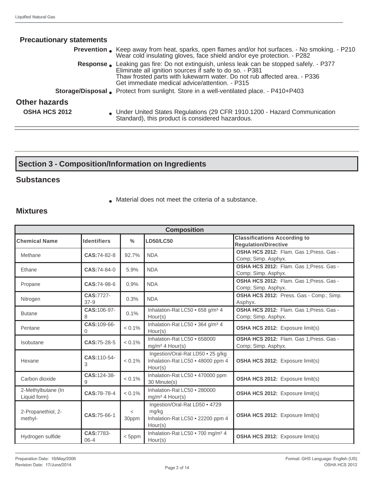| <b>Precautionary statements</b> |                                                                                                                                                                                                                                                                                   |
|---------------------------------|-----------------------------------------------------------------------------------------------------------------------------------------------------------------------------------------------------------------------------------------------------------------------------------|
|                                 | <b>Prevention</b> Keep away from heat, sparks, open flames and/or hot surfaces. - No smoking. - P210<br>Wear cold insulating gloves, face shield and/or eye protection. - P282                                                                                                    |
|                                 | Response. Leaking gas fire: Do not extinguish, unless leak can be stopped safely. - P377<br>Eliminate all ignition sources if safe to do so. - P381<br>Thaw frosted parts with lukewarm water. Do not rub affected area. - P336<br>Get immediate medical advice/attention. - P315 |
|                                 | <b>Storage/Disposal</b> Protect from sunlight. Store in a well-ventilated place. - P410+P403                                                                                                                                                                                      |
| <b>Other hazards</b>            |                                                                                                                                                                                                                                                                                   |
| <b>OSHA HCS 2012</b>            | • Under United States Regulations (29 CFR 1910.1200 - Hazard Communication<br>Standard), this product is considered hazardous.                                                                                                                                                    |

# **Section 3 - Composition/Information on Ingredients**

#### **Substances**

● Material does not meet the criteria of a substance.

### **Mixtures**

| <b>Composition</b>                 |                       |                  |                                                                                         |                                                                    |  |
|------------------------------------|-----------------------|------------------|-----------------------------------------------------------------------------------------|--------------------------------------------------------------------|--|
| <b>Chemical Name</b>               | <b>Identifiers</b>    | $\frac{0}{0}$    | <b>LD50/LC50</b>                                                                        | <b>Classifications According to</b><br><b>Regulation/Directive</b> |  |
| Methane                            | CAS:74-82-8           | 92.7%            | <b>NDA</b>                                                                              | OSHA HCS 2012: Flam. Gas 1; Press. Gas -<br>Comp; Simp. Asphyx.    |  |
| Ethane                             | CAS:74-84-0           | 5.9%             | <b>NDA</b>                                                                              | OSHA HCS 2012: Flam. Gas 1; Press. Gas -<br>Comp; Simp. Asphyx.    |  |
| Propane                            | CAS:74-98-6           | 0.9%             | <b>NDA</b>                                                                              | OSHA HCS 2012: Flam. Gas 1; Press. Gas -<br>Comp; Simp. Asphyx.    |  |
| Nitrogen                           | CAS:7727-<br>$37-9$   | 0.3%             | <b>NDA</b>                                                                              | OSHA HCS 2012: Press. Gas - Comp.; Simp.<br>Asphyx.                |  |
| <b>Butane</b>                      | CAS:106-97-<br>8      | 0.1%             | Inhalation-Rat LC50 . 658 g/m <sup>3</sup> 4<br>Hour(s)                                 | OSHA HCS 2012: Flam. Gas 1; Press. Gas -<br>Comp; Simp. Asphyx.    |  |
| Pentane                            | CAS:109-66-<br>0      | $< 0.1\%$        | Inhalation-Rat LC50 . 364 g/m <sup>3</sup> 4<br>Hour(s)                                 | OSHA HCS 2012: Exposure limit(s)                                   |  |
| Isobutane                          | CAS:75-28-5           | $< 0.1\%$        | Inhalation-Rat LC50 . 658000<br>$mg/m3$ 4 Hour(s)                                       | OSHA HCS 2012: Flam. Gas 1; Press. Gas -<br>Comp; Simp. Asphyx.    |  |
| Hexane                             | CAS:110-54-<br>3      | $< 0.1\%$        | Ingestion/Oral-Rat LD50 . 25 g/kg<br>Inhalation-Rat LC50 . 48000 ppm 4<br>Hour(s)       | <b>OSHA HCS 2012:</b> Exposure limit(s)                            |  |
| Carbon dioxide                     | CAS:124-38-<br>9      | $< 0.1\%$        | Inhalation-Rat LC50 . 470000 ppm<br>30 Minute(s)                                        | OSHA HCS 2012: Exposure limit(s)                                   |  |
| 2-Methylbutane (In<br>Liquid form) | CAS:78-78-4           | $< 0.1\%$        | Inhalation-Rat LC50 . 280000<br>$mg/m3$ 4 Hour(s)                                       | <b>OSHA HCS 2012:</b> Exposure limit(s)                            |  |
| 2-Propanethiol, 2-<br>methyl-      | CAS:75-66-1           | $\,<\,$<br>30ppm | Ingestion/Oral-Rat LD50 . 4729<br>mg/kg<br>Inhalation-Rat LC50 . 22200 ppm 4<br>Hour(s) | <b>OSHA HCS 2012:</b> Exposure limit(s)                            |  |
| Hydrogen sulfide                   | CAS:7783-<br>$06 - 4$ | $<$ 5ppm         | Inhalation-Rat LC50 . 700 mg/m <sup>3</sup> 4<br>Hour(s)                                | <b>OSHA HCS 2012:</b> Exposure limit(s)                            |  |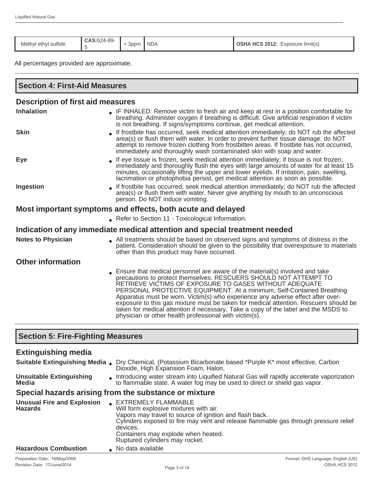| Methyl ethyl sulfide | CAS:624-89- | 3 <sub>ppm</sub> | <b>NDA</b> | <b>OSHA HCS 2012:</b> Exposure limit(s) |
|----------------------|-------------|------------------|------------|-----------------------------------------|

All percentages provided are approximate.

| <b>Section 4: First-Aid Measures</b>                        |                                                                                                                                                                                                                                                                                                                                                                                                                                                                                                                                                                                                                 |  |  |  |
|-------------------------------------------------------------|-----------------------------------------------------------------------------------------------------------------------------------------------------------------------------------------------------------------------------------------------------------------------------------------------------------------------------------------------------------------------------------------------------------------------------------------------------------------------------------------------------------------------------------------------------------------------------------------------------------------|--|--|--|
| <b>Description of first aid measures</b>                    |                                                                                                                                                                                                                                                                                                                                                                                                                                                                                                                                                                                                                 |  |  |  |
| <b>Inhalation</b>                                           | • IF INHALED: Remove victim to fresh air and keep at rest in a position comfortable for<br>breathing. Administer oxygen if breathing is difficult. Give artificial respiration if victim<br>is not breathing. If signs/symptoms continue, get medical attention.                                                                                                                                                                                                                                                                                                                                                |  |  |  |
| <b>Skin</b>                                                 | If frostbite has occurred, seek medical attention immediately; do NOT rub the affected<br>area(s) or flush them with water. In order to prevent further tissue damage, do NOT<br>attempt to remove frozen clothing from frostbitten areas. If frostbite has not occurred,<br>immediately and thoroughly wash contaminated skin with soap and water.                                                                                                                                                                                                                                                             |  |  |  |
| Eye                                                         | If eye tissue is frozen, seek medical attention immediately; if tissue is not frozen,<br>immediately and thoroughly flush the eyes with large amounts of water for at least 15<br>minutes, occasionally lifting the upper and lower eyelids. If irritation, pain, swelling,<br>lacrimation or photophobia persist, get medical attention as soon as possible.                                                                                                                                                                                                                                                   |  |  |  |
| Ingestion                                                   | If frostbite has occurred, seek medical attention immediately; do NOT rub the affected<br>area(s) or flush them with water. Never give anything by mouth to an unconscious<br>person. Do NOT induce vomiting.                                                                                                                                                                                                                                                                                                                                                                                                   |  |  |  |
| Most important symptoms and effects, both acute and delayed |                                                                                                                                                                                                                                                                                                                                                                                                                                                                                                                                                                                                                 |  |  |  |
|                                                             | Refer to Section 11 - Toxicological Information.                                                                                                                                                                                                                                                                                                                                                                                                                                                                                                                                                                |  |  |  |
|                                                             | Indication of any immediate medical attention and special treatment needed                                                                                                                                                                                                                                                                                                                                                                                                                                                                                                                                      |  |  |  |
| <b>Notes to Physician</b>                                   | All treatments should be based on observed signs and symptoms of distress in the<br>patient. Consideration should be given to the possibility that overexposure to materials<br>other than this product may have occurred.                                                                                                                                                                                                                                                                                                                                                                                      |  |  |  |
| <b>Other information</b>                                    |                                                                                                                                                                                                                                                                                                                                                                                                                                                                                                                                                                                                                 |  |  |  |
|                                                             | Ensure that medical personnel are aware of the material(s) involved and take<br>precautions to protect themselves. RESCUERS SHOULD NOT ATTEMPT TO<br>RETRIEVE VICTIMS OF EXPOSURE TO GASES WITHOUT ADEQUATE<br>PERSONAL PROTECTIVE EQUIPMENT. At a minimum, Self-Contained Breathing<br>Apparatus must be worn. Victim(s) who experience any adverse effect after over-<br>exposure to this gas mixture must be taken for medical attention. Rescuers should be<br>taken for medical attention if necessary. Take a copy of the label and the MSDS to<br>physician or other health professional with victim(s). |  |  |  |
| <b>Section 5: Fire-Fighting Measures</b>                    |                                                                                                                                                                                                                                                                                                                                                                                                                                                                                                                                                                                                                 |  |  |  |

#### **Extinguishing media Suitable Extinguishing Media** ● Dry Chemical, (Potassium Bicarbonate based \*Purple K\* most effective, Carbon Dioxide, High Expansion Foam, Halon. **Unsuitable Extinguishing Media Introducing water stream into Liquified Natural Gas will rapidly accelerate vaporization** to flammable state. A water fog may be used to direct or shield gas vapor. **Special hazards arising from the substance or mixture Unusual Fire and Explosion**  Unusual Fire and Explosion **CEXTREMELY FLAMMABLE**<br>Hazards Mill form explosive mixtures with air. Vapors may travel to source of ignition and flash back. Cylinders exposed to fire may vent and release flammable gas through pressure relief devices. Containers may explode when heated. Ruptured cylinders may rocket. Hazardous Combustion <br>
a No data available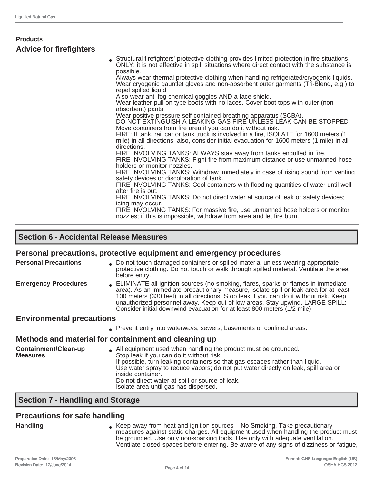| <b>Products</b>                |                                                                                                                                                                                                                                                                                                                                                                                                                                                                                                                                                                                                                                                                                                                                                                                                                                                                                                                                                                                                                                                                                                                                                                                                                                                                                                                                                                                                                                                                                                                                                                                                                          |
|--------------------------------|--------------------------------------------------------------------------------------------------------------------------------------------------------------------------------------------------------------------------------------------------------------------------------------------------------------------------------------------------------------------------------------------------------------------------------------------------------------------------------------------------------------------------------------------------------------------------------------------------------------------------------------------------------------------------------------------------------------------------------------------------------------------------------------------------------------------------------------------------------------------------------------------------------------------------------------------------------------------------------------------------------------------------------------------------------------------------------------------------------------------------------------------------------------------------------------------------------------------------------------------------------------------------------------------------------------------------------------------------------------------------------------------------------------------------------------------------------------------------------------------------------------------------------------------------------------------------------------------------------------------------|
| <b>Advice for firefighters</b> |                                                                                                                                                                                                                                                                                                                                                                                                                                                                                                                                                                                                                                                                                                                                                                                                                                                                                                                                                                                                                                                                                                                                                                                                                                                                                                                                                                                                                                                                                                                                                                                                                          |
|                                | Structural firefighters' protective clothing provides limited protection in fire situations<br>ONLY; it is not effective in spill situations where direct contact with the substance is<br>possible.<br>Always wear thermal protective clothing when handling refrigerated/cryogenic liquids.<br>Wear cryogenic gauntlet gloves and non-absorbent outer garments (Tri-Blend, e.g.) to<br>repel spilled liquid.<br>Also wear anti-fog chemical goggles AND a face shield.<br>Wear leather pull-on type boots with no laces. Cover boot tops with outer (non-<br>absorbent) pants.<br>Wear positive pressure self-contained breathing apparatus (SCBA).<br>DO NOT EXTINGUISH A LEAKING GAS FIRE UNLESS LEAK CÁN BE STOPPED<br>Move containers from fire area if you can do it without risk.<br>FIRE: If tank, rail car or tank truck is involved in a fire, ISOLATE for 1600 meters (1)<br>mile) in all directions; also, consider initial evacuation for 1600 meters (1 mile) in all<br>directions.<br>FIRE INVOLVING TANKS: ALWAYS stay away from tanks engulfed in fire.<br>FIRE INVOLVING TANKS: Fight fire from maximum distance or use unmanned hose<br>holders or monitor nozzles.<br>FIRE INVOLVING TANKS: Withdraw immediately in case of rising sound from venting<br>safety devices or discoloration of tank.<br>FIRE INVOLVING TANKS: Cool containers with flooding quantities of water until well<br>after fire is out.<br>FIRE INVOLVING TANKS: Do not direct water at source of leak or safety devices;<br>icing may occur.<br>FIRE INVOLVING TANKS: For massive fire, use unmanned hose holders or monitor |
|                                | nozzles; if this is impossible, withdraw from area and let fire burn.                                                                                                                                                                                                                                                                                                                                                                                                                                                                                                                                                                                                                                                                                                                                                                                                                                                                                                                                                                                                                                                                                                                                                                                                                                                                                                                                                                                                                                                                                                                                                    |
|                                |                                                                                                                                                                                                                                                                                                                                                                                                                                                                                                                                                                                                                                                                                                                                                                                                                                                                                                                                                                                                                                                                                                                                                                                                                                                                                                                                                                                                                                                                                                                                                                                                                          |

## **Section 6 - Accidental Release Measures**

### **Personal precautions, protective equipment and emergency procedures**

| <b>Personal Precautions</b>             | . Do not touch damaged containers or spilled material unless wearing appropriate<br>protective clothing. Do not touch or walk through spilled material. Ventilate the area<br>before entry.                                                                                                                                                                                                                                      |
|-----------------------------------------|----------------------------------------------------------------------------------------------------------------------------------------------------------------------------------------------------------------------------------------------------------------------------------------------------------------------------------------------------------------------------------------------------------------------------------|
| <b>Emergency Procedures</b>             | ELIMINATE all ignition sources (no smoking, flares, sparks or flames in immediate<br>area). As an immediate precautionary measure, isolate spill or leak area for at least<br>100 meters (330 feet) in all directions. Stop leak if you can do it without risk. Keep<br>unauthorized personnel away. Keep out of low areas. Stay upwind. LARGE SPILL:<br>Consider initial downwind evacuation for at least 800 meters (1/2 mile) |
| <b>Environmental precautions</b>        |                                                                                                                                                                                                                                                                                                                                                                                                                                  |
|                                         | Prevent entry into waterways, sewers, basements or confined areas.                                                                                                                                                                                                                                                                                                                                                               |
|                                         | Methods and material for containment and cleaning up                                                                                                                                                                                                                                                                                                                                                                             |
| Containment/Clean-up<br><b>Measures</b> | . All equipment used when handling the product must be grounded.<br>Stop leak if you can do it without risk.<br>If possible, turn leaking containers so that gas escapes rather than liquid.<br>Use water spray to reduce vapors; do not put water directly on leak, spill area or<br>inside container.<br>Do not direct water at spill or source of leak.<br>Isolate area until gas has dispersed.                              |

### **Section 7 - Handling and Storage**

## **Precautions for safe handling**

Handling **Handling Reep away from heat and ignition sources – No Smoking. Take precautionary** measures against static charges. All equipment used when handling the product must be grounded. Use only non-sparking tools. Use only with adequate ventilation. Ventilate closed spaces before entering. Be aware of any signs of dizziness or fatigue,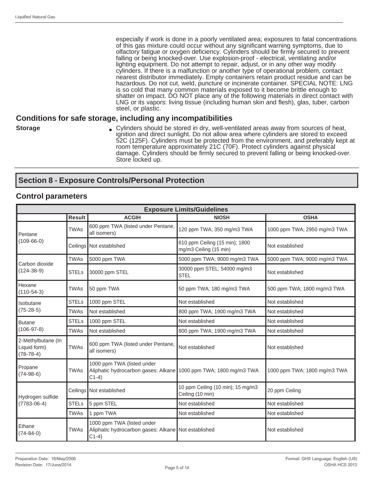especially if work is done in a poorly ventilated area; exposures to fatal concentrations of this gas mixture could occur without any significant warning symptoms, due to olfactory fatigue or oxygen deficiency. Cylinders should be firmly secured to prevent falling or being knocked-over. Use explosion-proof - electrical, ventilating and/or lighting equipment. Do not attempt to repair, adjust, or in any other way modify cylinders. If there is a malfunction or another type of operational problem, contact nearest distributor immediately. Empty containers retain product residue and can be hazardous. Do not cut, weld, puncture or incinerate container. SPECIAL NOTE: LNG is so cold that many common materials exposed to it become brittle enough to shatter on impact. DO NOT place any of the following materials in direct contact with LNG or its vapors: living tissue (including human skin and flesh), glas, tuber, carbon steel, or plastic.

## **Conditions for safe storage, including any incompatibilities**

- 
- **Storage Exercise 3 Cylinders** should be stored in dry, well-ventilated areas away from sources of heat, ignition and direct sunlight. Do not allow area where cylinders are stored to exceed 52C (125F). Cylinders must be protected from the environment, and preferably kept at room temperature approximately 21C (70F). Protect cylinders against physical damage. Cylinders should be firmly secured to prevent falling or being knocked-over. Store locked up.

# **Section 8 - Exposure Controls/Personal Protection**

#### **Control parameters**

| <b>Exposure Limits/Guidelines</b>                 |               |                                                                                                           |                                                          |                              |  |  |
|---------------------------------------------------|---------------|-----------------------------------------------------------------------------------------------------------|----------------------------------------------------------|------------------------------|--|--|
|                                                   | <b>Result</b> | <b>ACGIH</b>                                                                                              | <b>NIOSH</b>                                             | <b>OSHA</b>                  |  |  |
| <b>Pentane</b>                                    | <b>TWAs</b>   | 600 ppm TWA (listed under Pentane,<br>all isomers)                                                        | 120 ppm TWA; 350 mg/m3 TWA                               | 1000 ppm TWA; 2950 mg/m3 TWA |  |  |
| $(109-66-0)$                                      |               | Ceilings   Not established                                                                                | 610 ppm Ceiling (15 min); 1800<br>mg/m3 Ceiling (15 min) | Not established              |  |  |
|                                                   | <b>TWAs</b>   | 5000 ppm TWA                                                                                              | 5000 ppm TWA; 9000 mg/m3 TWA                             | 5000 ppm TWA; 9000 mg/m3 TWA |  |  |
| Carbon dioxide<br>$(124-38-9)$                    | <b>STELs</b>  | 30000 ppm STEL                                                                                            | 30000 ppm STEL; 54000 mg/m3<br><b>STEL</b>               | Not established              |  |  |
| Hexane<br>$(110-54-3)$                            | <b>TWAs</b>   | 50 ppm TWA                                                                                                | 50 ppm TWA; 180 mg/m3 TWA                                | 500 ppm TWA; 1800 mg/m3 TWA  |  |  |
| Ilsobutane                                        | <b>STELs</b>  | 1000 ppm STEL                                                                                             | Not established                                          | Not established              |  |  |
| $(75-28-5)$                                       | <b>TWAs</b>   | Not established                                                                                           | 800 ppm TWA; 1900 mg/m3 TWA                              | Not established              |  |  |
| Butane                                            | <b>STELs</b>  | 1000 ppm STEL                                                                                             | Not established                                          | Not established              |  |  |
| $(106-97-8)$                                      | <b>TWAs</b>   | Not established                                                                                           | 800 ppm TWA; 1900 mg/m3 TWA                              | Not established              |  |  |
| 2-Methylbutane (In<br>Liquid form)<br>$(78-78-4)$ | TWAs          | 600 ppm TWA (listed under Pentane,<br>all isomers)                                                        | Not established                                          | Not established              |  |  |
| Propane<br>$(74-98-6)$                            | <b>TWAs</b>   | 1000 ppm TWA (listed under<br>Aliphatic hydrocarbon gases: Alkane 1000 ppm TWA; 1800 mg/m3 TWA<br>$C1-4)$ |                                                          | 1000 ppm TWA; 1800 mg/m3 TWA |  |  |
| Hydrogen sulfide                                  |               | Ceilings Not established                                                                                  | 10 ppm Ceiling (10 min); 15 mg/m3<br>Ceiling (10 min)    | 20 ppm Ceiling               |  |  |
| $(7783 - 06 - 4)$                                 | <b>STELs</b>  | 5 ppm STEL                                                                                                | Not established                                          | Not established              |  |  |
|                                                   | <b>TWAs</b>   | 1 ppm TWA                                                                                                 | Not established                                          | Not established              |  |  |
| Ethane<br>$(74 - 84 - 0)$                         | <b>TWAs</b>   | 1000 ppm TWA (listed under<br>Aliphatic hydrocarbon gases: Alkane Not established<br>$C1-4)$              |                                                          | Not established              |  |  |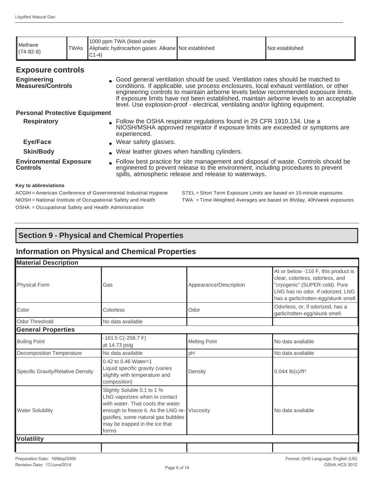| <b>I</b> Methane<br>$(74-82-8)$                  | <b>TWAs</b>                                    | 1000 ppm TWA (listed under<br>Aliphatic hydrocarbon gases: Alkane Not established<br>$C1-4)$ |                                                                                                                                                                                                                                                                                                                                                       | Not established                                                                         |  |  |
|--------------------------------------------------|------------------------------------------------|----------------------------------------------------------------------------------------------|-------------------------------------------------------------------------------------------------------------------------------------------------------------------------------------------------------------------------------------------------------------------------------------------------------------------------------------------------------|-----------------------------------------------------------------------------------------|--|--|
| <b>Exposure controls</b>                         |                                                |                                                                                              |                                                                                                                                                                                                                                                                                                                                                       |                                                                                         |  |  |
| <b>Engineering</b><br><b>Measures/Controls</b>   |                                                |                                                                                              | • Good general ventilation should be used. Ventilation rates should be matched to<br>conditions. If applicable, use process enclosures, local exhaust ventilation, or other<br>engineering controls to maintain airborne levels below recommended exposure limits.<br>level. Use explosion-proof - electrical, ventilating and/or lighting equipment. | If exposure limits have not been established, maintain airborne levels to an acceptable |  |  |
| <b>Personal Protective Equipment</b>             |                                                |                                                                                              |                                                                                                                                                                                                                                                                                                                                                       |                                                                                         |  |  |
| <b>Respiratory</b>                               |                                                | experienced.                                                                                 | • Follow the OSHA respirator regulations found in 29 CFR 1910.134. Use a<br>NIOSH/MSHA approved respirator if exposure limits are exceeded or symptoms are                                                                                                                                                                                            |                                                                                         |  |  |
| <b>Eye/Face</b>                                  |                                                |                                                                                              | . Wear safety glasses.                                                                                                                                                                                                                                                                                                                                |                                                                                         |  |  |
| <b>Skin/Body</b>                                 | . Wear leather gloves when handling cylinders. |                                                                                              |                                                                                                                                                                                                                                                                                                                                                       |                                                                                         |  |  |
| <b>Environmental Exposure</b><br><b>Controls</b> |                                                |                                                                                              | • Follow best practice for site management and disposal of waste. Controls should be<br>engineered to prevent release to the environment, including procedures to prevent<br>spills, atmospheric release and release to waterways.                                                                                                                    |                                                                                         |  |  |
| Key to abbreviations                             |                                                |                                                                                              |                                                                                                                                                                                                                                                                                                                                                       |                                                                                         |  |  |
|                                                  |                                                | ACGIH = American Conference of Governmental Industrial Hygiene                               | STEL = Short Term Exposure Limits are based on 15-minute exposures                                                                                                                                                                                                                                                                                    |                                                                                         |  |  |

OSHA = Occupational Safety and Health Administration

NIOSH = National Institute of Occupational Safety and Health TWA = Time-Weighted Averages are based on 8h/day, 40h/week exposures

# **Section 9 - Physical and Chemical Properties**

# **Information on Physical and Chemical Properties**

| <b>Material Description</b>       |                                                                                                                                                                                                                                    |                        |                                                                                                                                                                                       |
|-----------------------------------|------------------------------------------------------------------------------------------------------------------------------------------------------------------------------------------------------------------------------------|------------------------|---------------------------------------------------------------------------------------------------------------------------------------------------------------------------------------|
| <b>Physical Form</b>              | Gas                                                                                                                                                                                                                                | Appearance/Description | At or below -116 F, this product is<br>clear, colorless, odorless, and<br>"cryogenic" (SUPER-cold). Pure<br>LNG has no odor. If odorized, LNG<br>has a garlic/rotten-egg/skunk smell. |
| Color                             | Colorless                                                                                                                                                                                                                          | Odor                   | Odorless, or, if odorized, has a<br>garlic/rotten-egg/skunk smell.                                                                                                                    |
| Odor Threshold                    | No data available                                                                                                                                                                                                                  |                        |                                                                                                                                                                                       |
| <b>General Properties</b>         |                                                                                                                                                                                                                                    |                        |                                                                                                                                                                                       |
| <b>Boiling Point</b>              | $-161.5 C(-258.7 F)$<br>at 14.73 psig                                                                                                                                                                                              | <b>Melting Point</b>   | No data available                                                                                                                                                                     |
| <b>Decomposition Temperature</b>  | No data available                                                                                                                                                                                                                  | pH                     | No data available                                                                                                                                                                     |
| Specific Gravity/Relative Density | $0.42$ to 0.46 Water=1<br>Liquid specific gravity (varies<br>slightly with temperature and<br>composition)                                                                                                                         | Density                | $0.044$ lb(s)/ft <sup>3</sup>                                                                                                                                                         |
| <b>Water Solubility</b>           | Slightly Soluble 0.1 to 1 %<br>LNG vaporizes when in contact<br>with water. That cools the water<br>enough to freeze it. As the LNG re- Viscosity<br>gasifies, some natural gas bubbles<br>may be trapped in the ice that<br>forms |                        | No data available                                                                                                                                                                     |
| <b>Volatility</b>                 |                                                                                                                                                                                                                                    |                        |                                                                                                                                                                                       |
|                                   |                                                                                                                                                                                                                                    |                        |                                                                                                                                                                                       |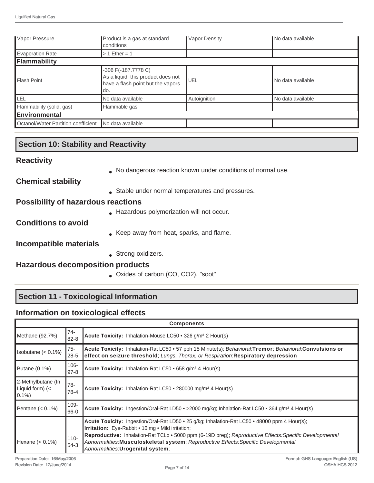| Vapor Pressure                      | Product is a gas at standard<br>conditions                                                            | <b>Vapor Density</b> | No data available   |
|-------------------------------------|-------------------------------------------------------------------------------------------------------|----------------------|---------------------|
| Evaporation Rate                    | $>1$ Ether = 1                                                                                        |                      |                     |
| Flammability                        |                                                                                                       |                      |                     |
| Flash Point                         | -306 F(-187.7778 C)<br>As a liquid, this product does not<br>have a flash point but the vapors<br>do. | UEL                  | l No data available |
| <b>LEL</b>                          | No data available                                                                                     | Autoignition         | No data available   |
| Flammability (solid, gas)           | Flammable gas.                                                                                        |                      |                     |
| Environmental                       |                                                                                                       |                      |                     |
| Octanol/Water Partition coefficient | No data available                                                                                     |                      |                     |

# **Section 10: Stability and Reactivity**

| <b>Reactivity</b> |  |
|-------------------|--|
|-------------------|--|

● No dangerous reaction known under conditions of normal use.

**Chemical stability**

• Stable under normal temperatures and pressures.

## **Possibility of hazardous reactions**

● Hazardous polymerization will not occur.

**Conditions to avoid**

• Keep away from heat, sparks, and flame.

## **Incompatible materials**

• Strong oxidizers.

# **Hazardous decomposition products**

● Oxides of carbon (CO, CO2), "soot"

# **Section 11 - Toxicological Information**

# **Information on toxicological effects**

|                                                            | <b>Components</b>   |                                                                                                                                                                                                                                                                                                                                                                                           |  |  |  |
|------------------------------------------------------------|---------------------|-------------------------------------------------------------------------------------------------------------------------------------------------------------------------------------------------------------------------------------------------------------------------------------------------------------------------------------------------------------------------------------------|--|--|--|
| Methane (92.7%)                                            | 74-<br>$82 - 8$     | Acute Toxicity: Inhalation-Mouse LC50 • 326 g/m <sup>3</sup> 2 Hour(s)                                                                                                                                                                                                                                                                                                                    |  |  |  |
| Isobutane $(0.1\%)$                                        | 75-<br>$28 - 5$     | Acute Toxicity: Inhalation-Rat LC50 • 57 pph 15 Minute(s); Behavioral: Tremor; Behavioral: Convulsions or<br>effect on seizure threshold; Lungs, Thorax, or Respiration: Respiratory depression                                                                                                                                                                                           |  |  |  |
| Butane $(0.1\%)$                                           | $106 -$<br>$97 - 8$ | Acute Toxicity: Inhalation-Rat LC50 • 658 g/m <sup>3</sup> 4 Hour(s)                                                                                                                                                                                                                                                                                                                      |  |  |  |
| 2-Methylbutane (In<br>Liquid form) $\left($ <<br>$ 0.1\% $ | 78-<br>$78-4$       | Acute Toxicity: Inhalation-Rat LC50 • 280000 mg/m <sup>3</sup> 4 Hour(s)                                                                                                                                                                                                                                                                                                                  |  |  |  |
| Pentane $(0.1\%)$                                          | 109-<br>66-0        | Acute Toxicity: Ingestion/Oral-Rat LD50 • > 2000 mg/kg; Inhalation-Rat LC50 • 364 g/m <sup>3</sup> 4 Hour(s)                                                                                                                                                                                                                                                                              |  |  |  |
| Hexane $(0.1\%)$                                           | $110 -$<br>54-3     | Acute Toxicity: Ingestion/Oral-Rat LD50 • 25 g/kg; Inhalation-Rat LC50 • 48000 ppm 4 Hour(s);<br>Irritation: Eye-Rabbit • 10 mg • Mild irritation;<br>Reproductive: Inhalation-Rat TCLo • 5000 ppm (6-19D preg); Reproductive Effects: Specific Developmental<br>Abnormalities: Musculoskeletal system; Reproductive Effects: Specific Developmental<br>Abnormalities: Urogenital system; |  |  |  |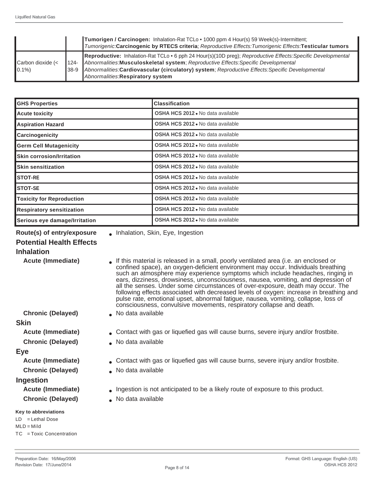|                                |                | <b>Tumorigen / Carcinogen:</b> Inhalation-Rat TCLo • 1000 ppm 4 Hour(s) 59 Week(s)-Intermittent;<br>Tumorigenic:Carcinogenic by RTECS criteria; Reproductive Effects:Tumorigenic Effects:Testicular tumors                                                                                                                                 |
|--------------------------------|----------------|--------------------------------------------------------------------------------------------------------------------------------------------------------------------------------------------------------------------------------------------------------------------------------------------------------------------------------------------|
| Carbon dioxide (<<br>$ 0.1\% $ | 1124-<br>I38-9 | Reproductive: Inhalation-Rat TCLo . 6 pph 24 Hour(s)(10D preg); Reproductive Effects: Specific Developmental<br>Abnormalities: Musculoskeletal system; Reproductive Effects: Specific Developmental<br>Abnormalities:Cardiovascular (circulatory) system; Reproductive Effects:Specific Developmental<br>Abnormalities: Respiratory system |

| <b>GHS Properties</b>            | <b>Classification</b>                    |
|----------------------------------|------------------------------------------|
| <b>Acute toxicity</b>            | <b>OSHA HCS 2012.</b> No data available  |
| <b>Aspiration Hazard</b>         | <b>OSHA HCS 2012</b> • No data available |
| Carcinogenicity                  | <b>OSHA HCS 2012</b> • No data available |
| <b>Germ Cell Mutagenicity</b>    | <b>OSHA HCS 2012</b> • No data available |
| <b>Skin corrosion/Irritation</b> | <b>OSHA HCS 2012</b> • No data available |
| <b>Skin sensitization</b>        | OSHA HCS 2012 . No data available        |
| <b>STOT-RE</b>                   | OSHA HCS 2012 . No data available        |
| <b>STOT-SE</b>                   | OSHA HCS 2012 . No data available        |
| <b>Toxicity for Reproduction</b> | <b>OSHA HCS 2012</b> . No data available |
| <b>Respiratory sensitization</b> | <b>OSHA HCS 2012</b> • No data available |
| Serious eye damage/Irritation    | <b>OSHA HCS 2012</b> • No data available |

**Route(s) of entry/exposure** <br> **a** Inhalation, Skin, Eye, Ingestion

## **Potential Health Effects**

#### **Inhalation**

**Acute (Immediate)** • If this material is released in a small, poorly ventilated area (i.e. an enclosed or

#### **Skin**

- 
- **Chronic (Delayed)** No data available

#### **Eye**

- 
- **Chronic (Delayed) No data available**

#### **Ingestion**

**Chronic (Delayed)** ● No data available

#### **Key to abbreviations**

LD = Lethal Dose  $MLD = Mild$ TC = Toxic Concentration

- confined space), an oxygen-deficient environment may occur. Individuals breathing such an atmosphere may experience symptoms which include headaches, ringing in ears, dizziness, drowsiness, unconsciousness, nausea, vomiting, and depression of all the senses. Under some circumstances of over-exposure, death may occur. The following effects associated with decreased levels of oxygen: increase in breathing and pulse rate, emotional upset, abnormal fatigue, nausea, vomiting, collapse, loss of consciousness, convulsive movements, respiratory collapse and death.
- **Chronic (Delayed)** No data available
- **Acute (Immediate)** Contact with gas or liquefied gas will cause burns, severe injury and/or frostbite.
	-
- **Acute (Immediate)** Contact with gas or liquefied gas will cause burns, severe injury and/or frostbite.
	-
- **Acute (Immediate) •** Ingestion is not anticipated to be a likely route of exposure to this product.
	-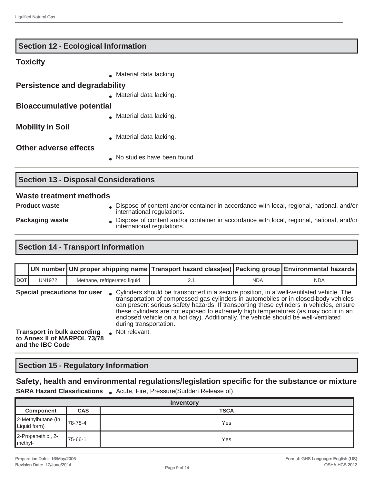|                                      | No studies have been found. |
|--------------------------------------|-----------------------------|
| <b>Other adverse effects</b>         |                             |
|                                      | Material data lacking.      |
| <b>Mobility in Soil</b>              |                             |
|                                      | Material data lacking.      |
| <b>Bioaccumulative potential</b>     |                             |
|                                      | Material data lacking.      |
| <b>Persistence and degradability</b> |                             |
|                                      | Material data lacking.      |
| <b>Toxicity</b>                      |                             |

# **Section 13 - Disposal Considerations**

**Section 12 - Ecological Information**

#### **Waste treatment methods**

- 
- **Product waste Dispose of content and/or container in accordance with local, regional, national, and/or** international regulations.
- 
- Packaging waste **••** Dispose of content and/or container in accordance with local, regional, national, and/or international regulations.

# **Section 14 - Transport Information**

|                                                                    |                                                        |                                         |                                                                                                                                                                                                                                                                                                                                                                                                                                                           | UN number UN proper shipping name Transport hazard class(es) Packing group Environmental hazards |            |            |
|--------------------------------------------------------------------|--------------------------------------------------------|-----------------------------------------|-----------------------------------------------------------------------------------------------------------------------------------------------------------------------------------------------------------------------------------------------------------------------------------------------------------------------------------------------------------------------------------------------------------------------------------------------------------|--------------------------------------------------------------------------------------------------|------------|------------|
| <b>DOT</b>                                                         | <b>UN1972</b>                                          | Methane, refrigerated liquid            |                                                                                                                                                                                                                                                                                                                                                                                                                                                           | 2.1                                                                                              | <b>NDA</b> | <b>NDA</b> |
| Special precautions for user<br><b>Transport in bulk according</b> |                                                        | during transportation.<br>Not relevant. | • Cylinders should be transported in a secure position, in a well-ventilated vehicle. The<br>transportation of compressed gas cylinders in automobiles or in closed-body vehicles<br>can present serious safety hazards. If transporting these cylinders in vehicles, ensure<br>these cylinders are not exposed to extremely high temperatures (as may occur in an<br>enclosed vehicle on a hot day). Additionally, the vehicle should be well-ventilated |                                                                                                  |            |            |
|                                                                    | to Annex II of MARPOL 73/78<br>and the <b>IBC</b> Code |                                         |                                                                                                                                                                                                                                                                                                                                                                                                                                                           |                                                                                                  |            |            |

## **Section 15 - Regulatory Information**

## **Safety, health and environmental regulations/legislation specific for the substance or mixture**

**SARA Hazard Classifications** . Acute, Fire, Pressure(Sudden Release of)

| Inventory                          |            |             |  |
|------------------------------------|------------|-------------|--|
| Component                          | <b>CAS</b> | <b>TSCA</b> |  |
| 2-Methylbutane (In<br>Liquid form) | 78-78-4    | Yes         |  |
| 2-Propanethiol, 2-<br>methyl-      | 175-66-1   | Yes         |  |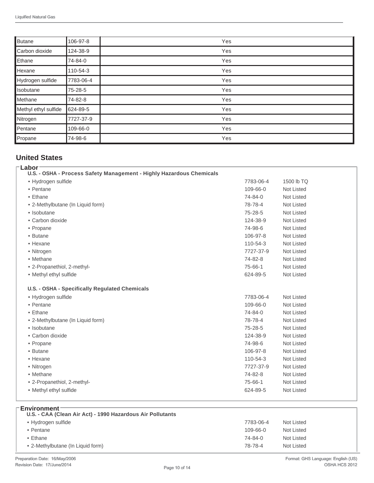| Butane               | 106-97-8  | Yes |
|----------------------|-----------|-----|
| Carbon dioxide       | 124-38-9  | Yes |
| Ethane               | 74-84-0   | Yes |
| Hexane               | 110-54-3  | Yes |
| Hydrogen sulfide     | 7783-06-4 | Yes |
| Isobutane            | 75-28-5   | Yes |
| Methane              | 74-82-8   | Yes |
| Methyl ethyl sulfide | 624-89-5  | Yes |
| Nitrogen             | 7727-37-9 | Yes |
| Pentane              | 109-66-0  | Yes |
| Propane              | 74-98-6   | Yes |

# **United States**

| Labor                                                                |           |                   |
|----------------------------------------------------------------------|-----------|-------------------|
| U.S. - OSHA - Process Safety Management - Highly Hazardous Chemicals |           |                   |
| · Hydrogen sulfide                                                   | 7783-06-4 | 1500 lb TQ        |
| • Pentane                                                            | 109-66-0  | Not Listed        |
| • Ethane                                                             | 74-84-0   | <b>Not Listed</b> |
| • 2-Methylbutane (In Liquid form)                                    | 78-78-4   | Not Listed        |
| • Isobutane                                                          | 75-28-5   | <b>Not Listed</b> |
| • Carbon dioxide                                                     | 124-38-9  | <b>Not Listed</b> |
| • Propane                                                            | 74-98-6   | <b>Not Listed</b> |
| • Butane                                                             | 106-97-8  | <b>Not Listed</b> |
| • Hexane                                                             | 110-54-3  | <b>Not Listed</b> |
| • Nitrogen                                                           | 7727-37-9 | <b>Not Listed</b> |
| • Methane                                                            | 74-82-8   | Not Listed        |
| • 2-Propanethiol, 2-methyl-                                          | 75-66-1   | <b>Not Listed</b> |
| • Methyl ethyl sulfide                                               | 624-89-5  | Not Listed        |
| U.S. - OSHA - Specifically Regulated Chemicals<br>• Hydrogen sulfide | 7783-06-4 | <b>Not Listed</b> |
| • Pentane                                                            | 109-66-0  | <b>Not Listed</b> |
| • Ethane                                                             | 74-84-0   | <b>Not Listed</b> |
| • 2-Methylbutane (In Liquid form)                                    |           |                   |
|                                                                      | 78-78-4   | <b>Not Listed</b> |
| • Isobutane                                                          | 75-28-5   | <b>Not Listed</b> |
| • Carbon dioxide                                                     | 124-38-9  | <b>Not Listed</b> |
| • Propane                                                            | 74-98-6   | <b>Not Listed</b> |
| • Butane                                                             | 106-97-8  | <b>Not Listed</b> |
| • Hexane                                                             | 110-54-3  | <b>Not Listed</b> |
|                                                                      | 7727-37-9 | <b>Not Listed</b> |
| • Nitrogen<br>• Methane                                              | 74-82-8   | <b>Not Listed</b> |
| • 2-Propanethiol, 2-methyl-                                          | 75-66-1   | <b>Not Listed</b> |

#### **Environment**

| U.S. - CAA (Clean Air Act) - 1990 Hazardous Air Pollutants |                |            |
|------------------------------------------------------------|----------------|------------|
| • Hydrogen sulfide                                         | 7783-06-4      | Not Listed |
| • Pentane                                                  | $109 - 66 - 0$ | Not Listed |
| $\bullet$ Ethane                                           | 74-84-0        | Not Listed |
| • 2-Methylbutane (In Liquid form)                          | 78-78-4        | Not Listed |
|                                                            |                |            |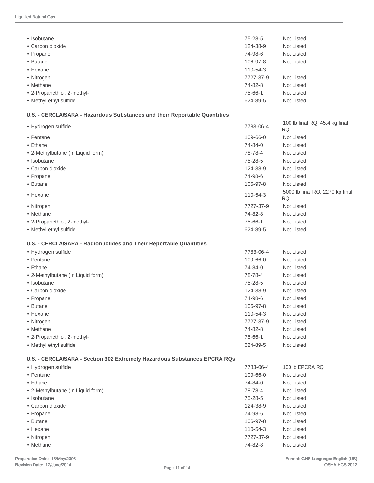| • Isobutane                                                               | 75-28-5   | Not Listed                                   |
|---------------------------------------------------------------------------|-----------|----------------------------------------------|
| • Carbon dioxide                                                          | 124-38-9  | Not Listed                                   |
| • Propane                                                                 | 74-98-6   | Not Listed                                   |
| • Butane                                                                  | 106-97-8  | Not Listed                                   |
| • Hexane                                                                  | 110-54-3  |                                              |
| • Nitrogen                                                                | 7727-37-9 | <b>Not Listed</b>                            |
| • Methane                                                                 | 74-82-8   | Not Listed                                   |
| • 2-Propanethiol, 2-methyl-                                               | 75-66-1   | Not Listed                                   |
| • Methyl ethyl sulfide                                                    | 624-89-5  | Not Listed                                   |
|                                                                           |           |                                              |
| U.S. - CERCLA/SARA - Hazardous Substances and their Reportable Quantities |           |                                              |
| • Hydrogen sulfide                                                        | 7783-06-4 | 100 lb final RQ; 45.4 kg final<br><b>RQ</b>  |
| • Pentane                                                                 | 109-66-0  | <b>Not Listed</b>                            |
| • Ethane                                                                  | 74-84-0   | <b>Not Listed</b>                            |
| • 2-Methylbutane (In Liquid form)                                         | 78-78-4   | <b>Not Listed</b>                            |
| • Isobutane                                                               | 75-28-5   | <b>Not Listed</b>                            |
| • Carbon dioxide                                                          | 124-38-9  | Not Listed                                   |
| • Propane                                                                 | 74-98-6   | Not Listed                                   |
| • Butane                                                                  | 106-97-8  | Not Listed                                   |
| • Hexane                                                                  | 110-54-3  | 5000 lb final RQ; 2270 kg final<br><b>RQ</b> |
| • Nitrogen                                                                | 7727-37-9 | Not Listed                                   |
| • Methane                                                                 | 74-82-8   | <b>Not Listed</b>                            |
| • 2-Propanethiol, 2-methyl-                                               | 75-66-1   | Not Listed                                   |
| • Methyl ethyl sulfide                                                    | 624-89-5  | Not Listed                                   |
| U.S. - CERCLA/SARA - Radionuclides and Their Reportable Quantities        |           |                                              |
| · Hydrogen sulfide                                                        | 7783-06-4 | <b>Not Listed</b>                            |
| • Pentane                                                                 | 109-66-0  | Not Listed                                   |
| • Ethane                                                                  | 74-84-0   | Not Listed                                   |
| • 2-Methylbutane (In Liquid form)                                         | 78-78-4   | Not Listed                                   |
| • Isobutane                                                               | 75-28-5   | Not Listed                                   |
| • Carbon dioxide                                                          | 124-38-9  | Not Listed                                   |
| • Propane                                                                 | 74-98-6   | Not Listed                                   |
| • Butane                                                                  | 106-97-8  | Not Listed                                   |
| • Hexane                                                                  | 110-54-3  | Not Listed                                   |
| • Nitrogen                                                                | 7727-37-9 | Not Listed                                   |
| • Methane                                                                 | 74-82-8   | Not Listed                                   |
| • 2-Propanethiol, 2-methyl-                                               | 75-66-1   | Not Listed                                   |
| • Methyl ethyl sulfide                                                    | 624-89-5  | Not Listed                                   |
| U.S. - CERCLA/SARA - Section 302 Extremely Hazardous Substances EPCRA RQs |           |                                              |
| • Hydrogen sulfide                                                        | 7783-06-4 | 100 lb EPCRA RQ                              |
| • Pentane                                                                 | 109-66-0  | Not Listed                                   |
| • Ethane                                                                  | 74-84-0   | Not Listed                                   |
| • 2-Methylbutane (In Liquid form)                                         | 78-78-4   | Not Listed                                   |
| • Isobutane                                                               | 75-28-5   | Not Listed                                   |
| • Carbon dioxide                                                          | 124-38-9  | Not Listed                                   |
| • Propane                                                                 | 74-98-6   | Not Listed                                   |
| • Butane                                                                  | 106-97-8  | Not Listed                                   |
| • Hexane                                                                  | 110-54-3  | Not Listed                                   |
| • Nitrogen                                                                | 7727-37-9 | Not Listed                                   |
| • Methane                                                                 | 74-82-8   | Not Listed                                   |
|                                                                           |           |                                              |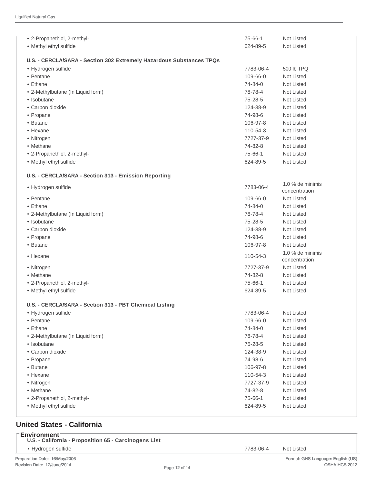| • 2-Propanethiol, 2-methyl-                                          | 75-66-1       | <b>Not Listed</b>                 |
|----------------------------------------------------------------------|---------------|-----------------------------------|
| • Methyl ethyl sulfide                                               | 624-89-5      | <b>Not Listed</b>                 |
| U.S. - CERCLA/SARA - Section 302 Extremely Hazardous Substances TPQs |               |                                   |
| • Hydrogen sulfide                                                   | 7783-06-4     | 500 lb TPQ                        |
| • Pentane                                                            | 109-66-0      | <b>Not Listed</b>                 |
| • Ethane                                                             | 74-84-0       | <b>Not Listed</b>                 |
| • 2-Methylbutane (In Liquid form)                                    | 78-78-4       | Not Listed                        |
| • Isobutane                                                          | $75 - 28 - 5$ | Not Listed                        |
| • Carbon dioxide                                                     | 124-38-9      | Not Listed                        |
| • Propane                                                            | 74-98-6       | Not Listed                        |
| • Butane                                                             | 106-97-8      | Not Listed                        |
| • Hexane                                                             | 110-54-3      | <b>Not Listed</b>                 |
| • Nitrogen                                                           | 7727-37-9     | Not Listed                        |
| • Methane                                                            | 74-82-8       | Not Listed                        |
| • 2-Propanethiol, 2-methyl-                                          | 75-66-1       | <b>Not Listed</b>                 |
| • Methyl ethyl sulfide                                               | 624-89-5      | Not Listed                        |
|                                                                      |               |                                   |
| U.S. - CERCLA/SARA - Section 313 - Emission Reporting                |               |                                   |
| • Hydrogen sulfide                                                   | 7783-06-4     | 1.0 % de minimis<br>concentration |
| • Pentane                                                            | 109-66-0      | Not Listed                        |
| • Ethane                                                             | 74-84-0       | Not Listed                        |
| • 2-Methylbutane (In Liquid form)                                    | 78-78-4       | Not Listed                        |
| • Isobutane                                                          | 75-28-5       | <b>Not Listed</b>                 |
| • Carbon dioxide                                                     | 124-38-9      | <b>Not Listed</b>                 |
| • Propane                                                            | 74-98-6       | <b>Not Listed</b>                 |
| • Butane                                                             | 106-97-8      | Not Listed                        |
| • Hexane                                                             | 110-54-3      | 1.0 % de minimis<br>concentration |
| • Nitrogen                                                           | 7727-37-9     | <b>Not Listed</b>                 |
| • Methane                                                            | 74-82-8       | <b>Not Listed</b>                 |
| • 2-Propanethiol, 2-methyl-                                          | 75-66-1       | Not Listed                        |
| • Methyl ethyl sulfide                                               | 624-89-5      | <b>Not Listed</b>                 |
| U.S. - CERCLA/SARA - Section 313 - PBT Chemical Listing              |               |                                   |
| • Hydrogen sulfide                                                   | 7783-06-4     | Not Listed                        |
| • Pentane                                                            | 109-66-0      | Not Listed                        |
| • Ethane                                                             | 74-84-0       | Not Listed                        |
| • 2-Methylbutane (In Liquid form)                                    | 78-78-4       | Not Listed                        |
| • Isobutane                                                          | $75 - 28 - 5$ | Not Listed                        |
| • Carbon dioxide                                                     | 124-38-9      | Not Listed                        |
| • Propane                                                            | 74-98-6       | Not Listed                        |
| • Butane                                                             | 106-97-8      | Not Listed                        |
| • Hexane                                                             | 110-54-3      | Not Listed                        |
| • Nitrogen                                                           | 7727-37-9     | Not Listed                        |
| • Methane                                                            | 74-82-8       | Not Listed                        |
| • 2-Propanethiol, 2-methyl-                                          | 75-66-1       | Not Listed                        |
| • Methyl ethyl sulfide                                               | 624-89-5      | Not Listed                        |
|                                                                      |               |                                   |

# **United States - California**

| ⊤Environment <sup>–</sup><br>U.S. - California - Proposition 65 - Carcinogens List |           |            |
|------------------------------------------------------------------------------------|-----------|------------|
| • Hydrogen sulfide                                                                 | 7783-06-4 | Not Listed |
|                                                                                    |           |            |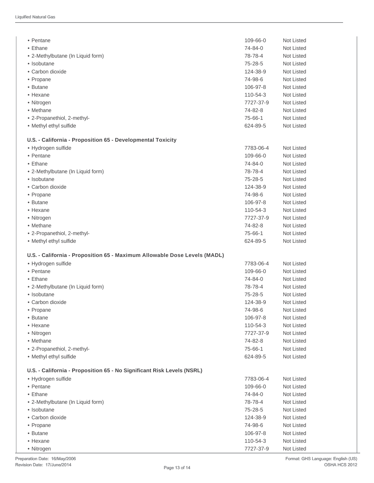| • Pentane                                                                 | 109-66-0            | Not Listed               |
|---------------------------------------------------------------------------|---------------------|--------------------------|
| • Ethane                                                                  | 74-84-0             | Not Listed               |
| • 2-Methylbutane (In Liquid form)                                         | 78-78-4             | Not Listed               |
| • Isobutane                                                               | 75-28-5             | <b>Not Listed</b>        |
| • Carbon dioxide                                                          | 124-38-9            | <b>Not Listed</b>        |
| • Propane                                                                 | 74-98-6             | <b>Not Listed</b>        |
| • Butane                                                                  | 106-97-8            | <b>Not Listed</b>        |
| • Hexane                                                                  | 110-54-3            | Not Listed               |
| • Nitrogen                                                                | 7727-37-9           | Not Listed               |
| • Methane                                                                 | 74-82-8             | Not Listed               |
| • 2-Propanethiol, 2-methyl-                                               | 75-66-1             | Not Listed               |
| • Methyl ethyl sulfide                                                    | 624-89-5            | <b>Not Listed</b>        |
| U.S. - California - Proposition 65 - Developmental Toxicity               |                     |                          |
| · Hydrogen sulfide                                                        | 7783-06-4           | <b>Not Listed</b>        |
| • Pentane                                                                 | $109 - 66 - 0$      | <b>Not Listed</b>        |
| • Ethane                                                                  | 74-84-0             | Not Listed               |
| • 2-Methylbutane (In Liquid form)                                         | 78-78-4             | Not Listed               |
| • Isobutane                                                               | 75-28-5             | Not Listed               |
| • Carbon dioxide                                                          | 124-38-9            | Not Listed               |
| • Propane                                                                 | 74-98-6             | Not Listed               |
| • Butane                                                                  | 106-97-8            | <b>Not Listed</b>        |
| • Hexane                                                                  | 110-54-3            | <b>Not Listed</b>        |
| • Nitrogen                                                                | 7727-37-9           | <b>Not Listed</b>        |
| • Methane                                                                 | 74-82-8             | Not Listed               |
| • 2-Propanethiol, 2-methyl-                                               | 75-66-1             | <b>Not Listed</b>        |
| • Methyl ethyl sulfide                                                    | 624-89-5            | <b>Not Listed</b>        |
| U.S. - California - Proposition 65 - Maximum Allowable Dose Levels (MADL) |                     |                          |
| · Hydrogen sulfide                                                        | 7783-06-4           | <b>Not Listed</b>        |
| • Pentane                                                                 | 109-66-0            | <b>Not Listed</b>        |
| • Ethane                                                                  | 74-84-0             | Not Listed               |
| • 2-Methylbutane (In Liquid form)                                         | 78-78-4             | Not Listed               |
| • Isobutane                                                               | 75-28-5             | <b>Not Listed</b>        |
| • Carbon dioxide                                                          | 124-38-9            | <b>Not Listed</b>        |
| • Propane                                                                 | 74-98-6             | Not Listed               |
| • Butane                                                                  | 106-97-8            | <b>Not Listed</b>        |
| • Hexane                                                                  | 110-54-3            | Not Listed               |
| • Nitrogen                                                                | 7727-37-9           | <b>Not Listed</b>        |
| • Methane                                                                 | 74-82-8             | Not Listed               |
| • 2-Propanethiol, 2-methyl-                                               | 75-66-1             | Not Listed               |
| • Methyl ethyl sulfide                                                    | 624-89-5            | Not Listed               |
| U.S. - California - Proposition 65 - No Significant Risk Levels (NSRL)    |                     |                          |
|                                                                           |                     |                          |
| • Hydrogen sulfide                                                        | 7783-06-4           | <b>Not Listed</b>        |
| • Pentane                                                                 | 109-66-0            | Not Listed               |
| • Ethane                                                                  | 74-84-0             | <b>Not Listed</b>        |
| • 2-Methylbutane (In Liquid form)                                         | 78-78-4             | <b>Not Listed</b>        |
| • Isobutane                                                               | 75-28-5             | Not Listed               |
| • Carbon dioxide                                                          | 124-38-9            | Not Listed               |
| • Propane<br>• Butane                                                     | 74-98-6<br>106-97-8 | Not Listed<br>Not Listed |
| • Hexane                                                                  | 110-54-3            | Not Listed               |
|                                                                           |                     |                          |
| • Nitrogen                                                                | 7727-37-9           | Not Listed               |